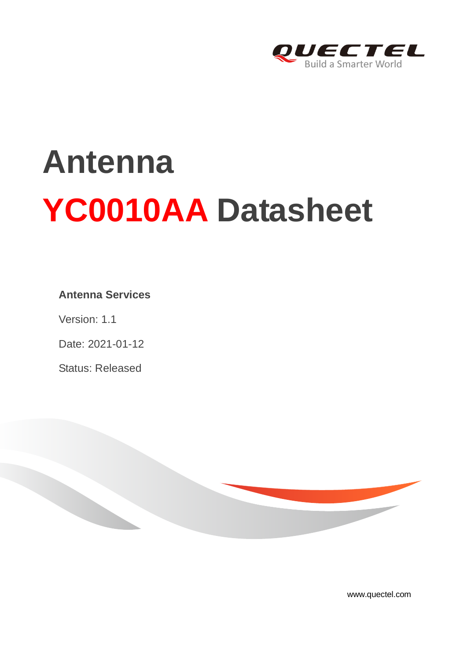

# **Antenna YC0010AA Datasheet**

#### **Antenna Services**

Version: 1.1

Date: 2021-01-12

Status: Released



[www.quectel.com](http://www.quectel.com/)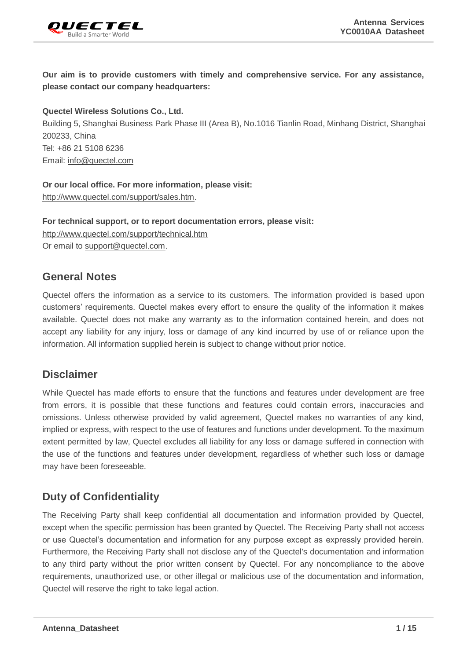

**Our aim is to provide customers with timely and comprehensive service. For any assistance, please contact our company headquarters:**

**Quectel Wireless Solutions Co., Ltd.** 

Building 5, Shanghai Business Park Phase III (Area B), No.1016 Tianlin Road, Minhang District, Shanghai 200233, China Tel: +86 21 5108 6236 Email: [info@quectel.com](mailto:info@quectel.com)

**Or our local office. For more information, please visit:**  [http://www.quectel.com/support/sales.htm.](http://www.quectel.com/support/sales.htm)

**For technical support, or to report documentation errors, please visit:**  <http://www.quectel.com/support/technical.htm> Or email to [support@quectel.com.](mailto:support@quectel.com)

#### **General Notes**

Quectel offers the information as a service to its customers. The information provided is based upon customers' requirements. Quectel makes every effort to ensure the quality of the information it makes available. Quectel does not make any warranty as to the information contained herein, and does not accept any liability for any injury, loss or damage of any kind incurred by use of or reliance upon the information. All information supplied herein is subject to change without prior notice.

#### **Disclaimer**

While Quectel has made efforts to ensure that the functions and features under development are free from errors, it is possible that these functions and features could contain errors, inaccuracies and omissions. Unless otherwise provided by valid agreement, Quectel makes no warranties of any kind, implied or express, with respect to the use of features and functions under development. To the maximum extent permitted by law, Quectel excludes all liability for any loss or damage suffered in connection with the use of the functions and features under development, regardless of whether such loss or damage may have been foreseeable.

# **Duty of Confidentiality**

The Receiving Party shall keep confidential all documentation and information provided by Quectel, except when the specific permission has been granted by Quectel. The Receiving Party shall not access or use Quectel's documentation and information for any purpose except as expressly provided herein. Furthermore, the Receiving Party shall not disclose any of the Quectel's documentation and information to any third party without the prior written consent by Quectel. For any noncompliance to the above requirements, unauthorized use, or other illegal or malicious use of the documentation and information, Quectel will reserve the right to take legal action.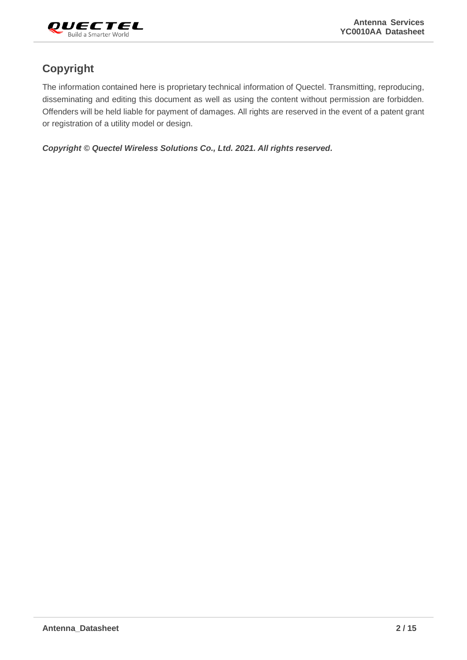

# **Copyright**

The information contained here is proprietary technical information of Quectel. Transmitting, reproducing, disseminating and editing this document as well as using the content without permission are forbidden. Offenders will be held liable for payment of damages. All rights are reserved in the event of a patent grant or registration of a utility model or design.

*Copyright © Quectel Wireless Solutions Co., Ltd. 2021. All rights reserved.*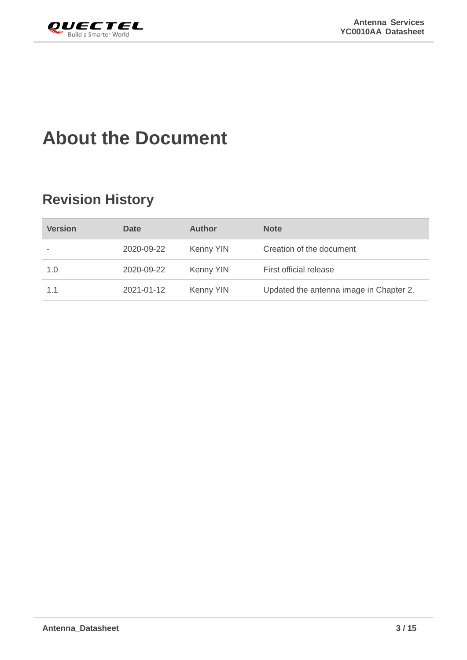<span id="page-3-0"></span>

# **About the Document**

# **Revision History**

| <b>Version</b> | <b>Date</b> | <b>Author</b> | <b>Note</b>                             |
|----------------|-------------|---------------|-----------------------------------------|
|                | 2020-09-22  | Kenny YIN     | Creation of the document                |
| 1.0            | 2020-09-22  | Kenny YIN     | First official release                  |
| 1.1            | 2021-01-12  | Kenny YIN     | Updated the antenna image in Chapter 2. |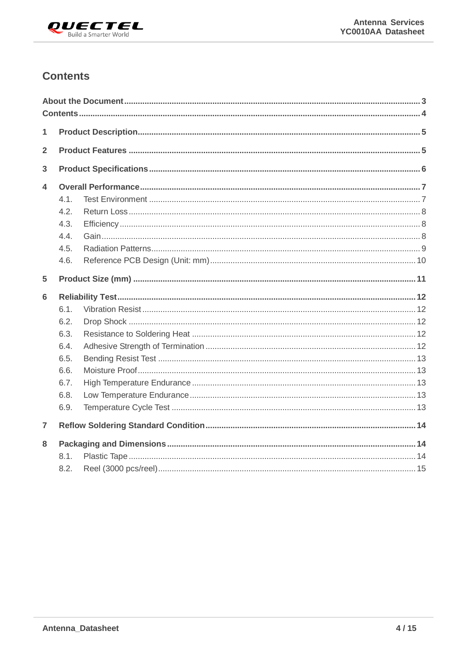

# <span id="page-4-0"></span>**Contents**

| 1              |      |  |
|----------------|------|--|
| $\overline{2}$ |      |  |
| 3              |      |  |
| 4              |      |  |
|                | 4.1. |  |
|                | 4.2. |  |
|                | 4.3. |  |
|                | 4.4. |  |
|                | 4.5. |  |
|                | 4.6. |  |
| 5              |      |  |
| 6              |      |  |
|                | 6.1. |  |
|                | 6.2. |  |
|                | 6.3. |  |
|                | 6.4. |  |
|                | 6.5. |  |
|                | 6.6. |  |
|                | 6.7. |  |
|                | 6.8. |  |
|                | 6.9. |  |
| $\overline{7}$ |      |  |
|                |      |  |
| 8              |      |  |
|                | 8.1. |  |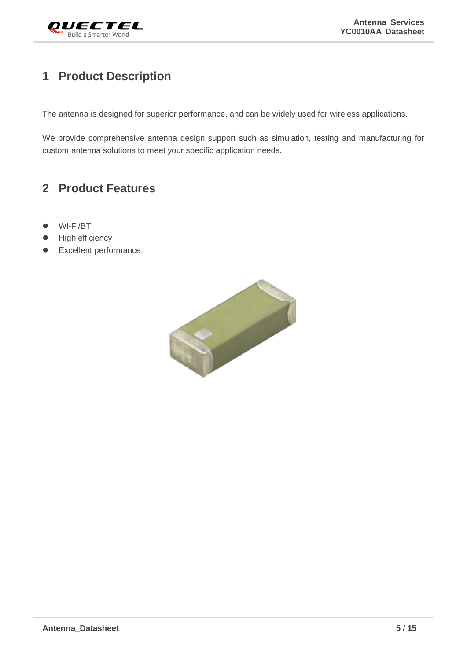

# <span id="page-5-0"></span>**1 Product Description**

The antenna is designed for superior performance, and can be widely used for wireless applications.

We provide comprehensive antenna design support such as simulation, testing and manufacturing for custom antenna solutions to meet your specific application needs.

# <span id="page-5-1"></span>**2 Product Features**

- Wi-Fi/BT
- **•** High efficiency
- **•** Excellent performance

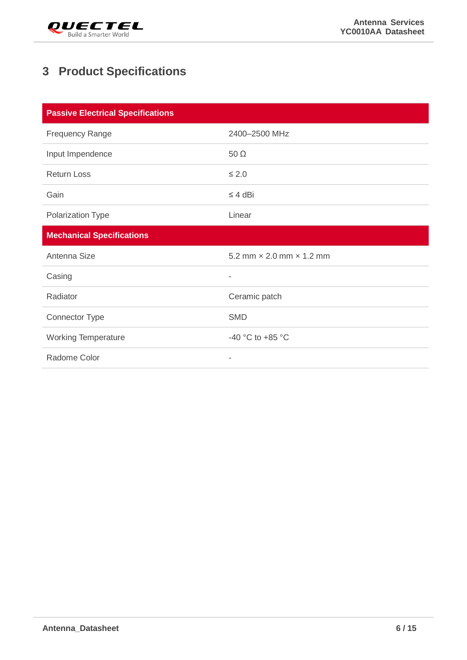

# <span id="page-6-0"></span>**3 Product Specifications**

| <b>Passive Electrical Specifications</b> |                                        |  |
|------------------------------------------|----------------------------------------|--|
| <b>Frequency Range</b>                   | 2400-2500 MHz                          |  |
| Input Impendence                         | $50 \Omega$                            |  |
| <b>Return Loss</b>                       | $\leq 2.0$                             |  |
| Gain                                     | $\leq 4$ dBi                           |  |
| Polarization Type                        | Linear                                 |  |
| <b>Mechanical Specifications</b>         |                                        |  |
| Antenna Size                             | 5.2 mm $\times$ 2.0 mm $\times$ 1.2 mm |  |
| Casing                                   | $\overline{\phantom{a}}$               |  |
| Radiator                                 | Ceramic patch                          |  |
| <b>Connector Type</b>                    | <b>SMD</b>                             |  |
| <b>Working Temperature</b>               | -40 °C to +85 °C                       |  |
| Radome Color                             | -                                      |  |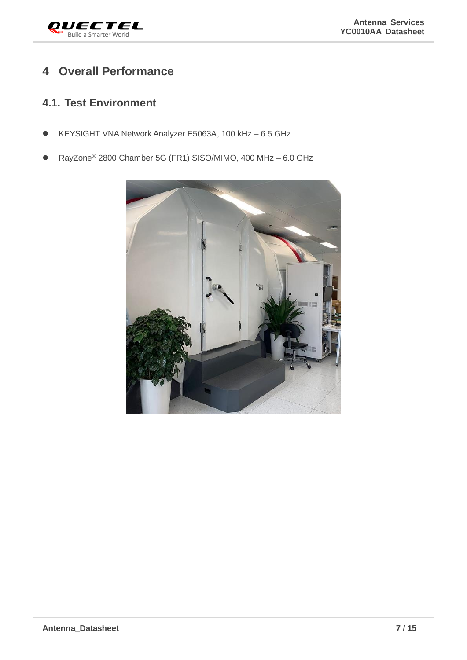

# <span id="page-7-0"></span>**4 Overall Performance**

## <span id="page-7-1"></span>**4.1. Test Environment**

- KEYSIGHT VNA Network Analyzer E5063A, 100 kHz 6.5 GHz
- RayZone® 2800 Chamber 5G (FR1) SISO/MIMO, 400 MHz 6.0 GHz

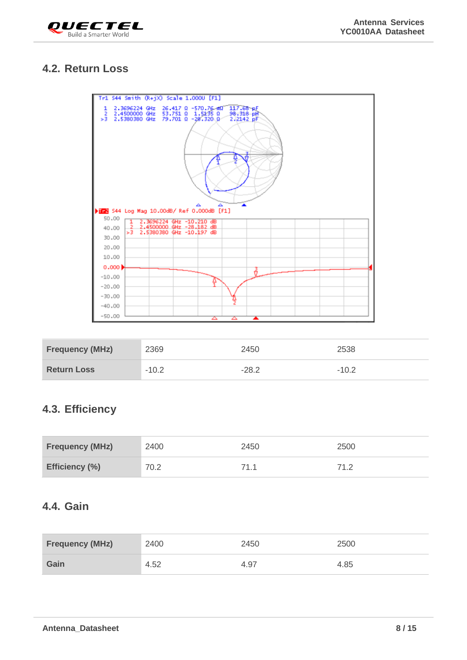

## <span id="page-8-0"></span>**4.2. Return Loss**

| Tr1 S44 Smith (R+jX) Scale 1.000U [F1]                                                                                                                       |  |  |
|--------------------------------------------------------------------------------------------------------------------------------------------------------------|--|--|
| 2.3696224 GHz 26.417 0 -570.76 ml 117.68 pF<br>1<br>2<br>2.4500000 GHz 53.751 0 1.5235 0<br>2.5380380 GHz 79.701 0 -28.320 0<br>98.318 pH<br>>3<br>2.2142 pF |  |  |
|                                                                                                                                                              |  |  |
| 12 S44 Log Mag 10.00dB/ Ref 0.000dB [F1]                                                                                                                     |  |  |
| 50.00<br>2.3696224 GHz -10.210 dB<br>1                                                                                                                       |  |  |
| -2.<br>2.4500000 GHz -28.182 dB<br>40.00<br>2.5380380 GHz -10.197 dB<br>ь3.                                                                                  |  |  |
| 30,00                                                                                                                                                        |  |  |
| 20.00                                                                                                                                                        |  |  |
| 10.00                                                                                                                                                        |  |  |
| 0.000                                                                                                                                                        |  |  |
| $-10.00$                                                                                                                                                     |  |  |
| $-20.00$<br>$-30.00$                                                                                                                                         |  |  |
| $-40.00$                                                                                                                                                     |  |  |
| $-50.00$<br>▲<br>▵<br>▵                                                                                                                                      |  |  |

| <b>Frequency (MHz)</b> | 2369    | 2450    | 2538    |
|------------------------|---------|---------|---------|
| <b>Return Loss</b>     | $-10.2$ | $-28.2$ | $-10.2$ |

# <span id="page-8-1"></span>**4.3. Efficiency**

| <b>Frequency (MHz)</b> | 2400 | 2450 | 2500 |
|------------------------|------|------|------|
| Efficiency (%)         | 70.2 | 71.1 | 71 つ |

## <span id="page-8-2"></span>**4.4. Gain**

| <b>Frequency (MHz)</b> | 2400 | 2450 | 2500 |
|------------------------|------|------|------|
| Gain                   | 4.52 | 4.97 | 4.85 |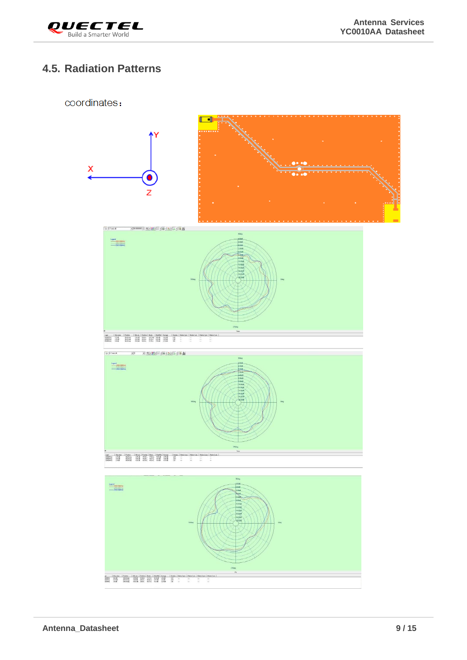

# <span id="page-9-0"></span>**4.5. Radiation Patterns**

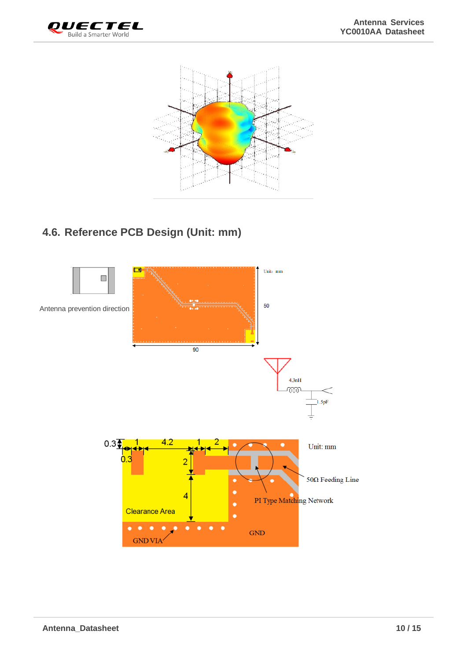



# <span id="page-10-0"></span>**4.6. Reference PCB Design (Unit: mm)**

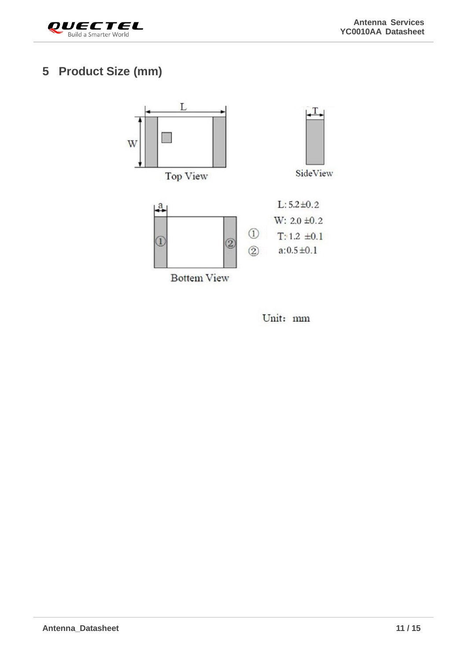

# <span id="page-11-0"></span>**5 Product Size (mm)**



Unit: mm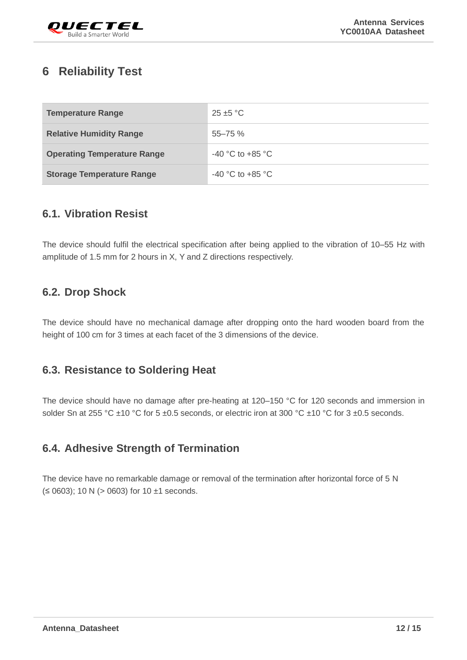

# <span id="page-12-0"></span>**6 Reliability Test**

| <b>Temperature Range</b>           | $25 + 5$ °C          |
|------------------------------------|----------------------|
| <b>Relative Humidity Range</b>     | $55 - 75%$           |
| <b>Operating Temperature Range</b> | $-40$ °C to $+85$ °C |
| <b>Storage Temperature Range</b>   | $-40$ °C to $+85$ °C |

#### <span id="page-12-1"></span>**6.1. Vibration Resist**

The device should fulfil the electrical specification after being applied to the vibration of 10–55 Hz with amplitude of 1.5 mm for 2 hours in X, Y and Z directions respectively.

### <span id="page-12-2"></span>**6.2. Drop Shock**

The device should have no mechanical damage after dropping onto the hard wooden board from the height of 100 cm for 3 times at each facet of the 3 dimensions of the device.

### <span id="page-12-3"></span>**6.3. Resistance to Soldering Heat**

The device should have no damage after pre-heating at 120–150 °C for 120 seconds and immersion in solder Sn at 255 °C  $\pm$ 10 °C for 5  $\pm$ 0.5 seconds, or electric iron at 300 °C  $\pm$ 10 °C for 3  $\pm$ 0.5 seconds.

### <span id="page-12-4"></span>**6.4. Adhesive Strength of Termination**

The device have no remarkable damage or removal of the termination after horizontal force of 5 N  $(50603)$ ; 10 N (> 0603) for 10 ±1 seconds.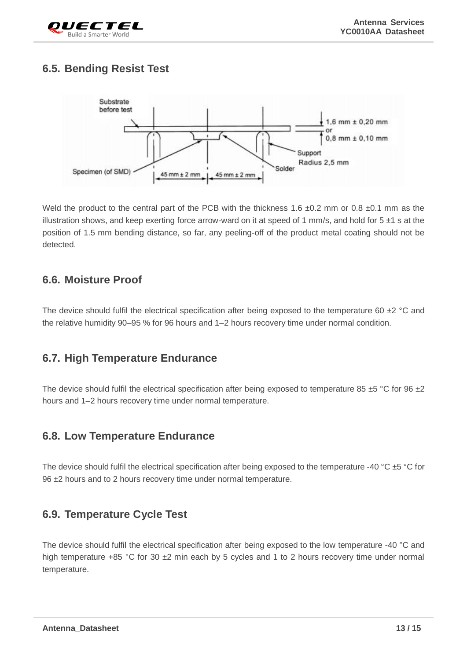

# <span id="page-13-0"></span>**6.5. Bending Resist Test**



Weld the product to the central part of the PCB with the thickness 1.6  $\pm$ 0.2 mm or 0.8  $\pm$ 0.1 mm as the illustration shows, and keep exerting force arrow-ward on it at speed of 1 mm/s, and hold for  $5 \pm 1$  s at the position of 1.5 mm bending distance, so far, any peeling-off of the product metal coating should not be detected.

#### <span id="page-13-1"></span>**6.6. Moisture Proof**

The device should fulfil the electrical specification after being exposed to the temperature 60  $\pm$ 2 °C and the relative humidity 90–95 % for 96 hours and 1–2 hours recovery time under normal condition.

#### <span id="page-13-2"></span>**6.7. High Temperature Endurance**

The device should fulfil the electrical specification after being exposed to temperature 85  $\pm$ 5 °C for 96  $\pm$ 2 hours and 1–2 hours recovery time under normal temperature.

### <span id="page-13-3"></span>**6.8. Low Temperature Endurance**

The device should fulfil the electrical specification after being exposed to the temperature -40 °C ±5 °C for 96 ±2 hours and to 2 hours recovery time under normal temperature.

#### <span id="page-13-4"></span>**6.9. Temperature Cycle Test**

The device should fulfil the electrical specification after being exposed to the low temperature -40 °C and high temperature +85 °C for 30  $\pm$ 2 min each by 5 cycles and 1 to 2 hours recovery time under normal temperature.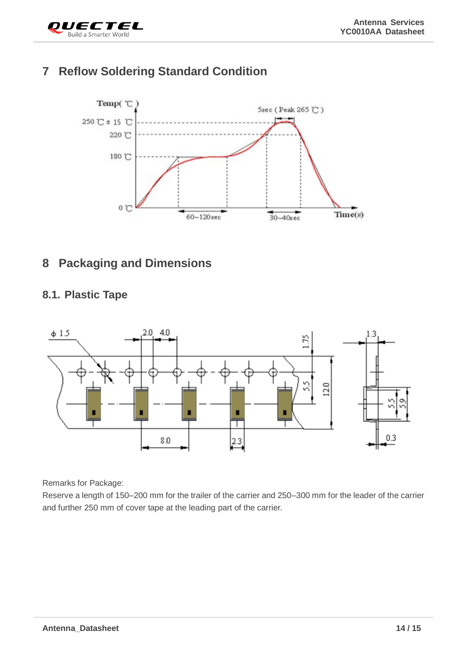

# <span id="page-14-0"></span>**7 Reflow Soldering Standard Condition**



# <span id="page-14-1"></span>**8 Packaging and Dimensions**

### <span id="page-14-2"></span>**8.1. Plastic Tape**



Remarks for Package:

Reserve a length of 150–200 mm for the trailer of the carrier and 250–300 mm for the leader of the carrier and further 250 mm of cover tape at the leading part of the carrier.